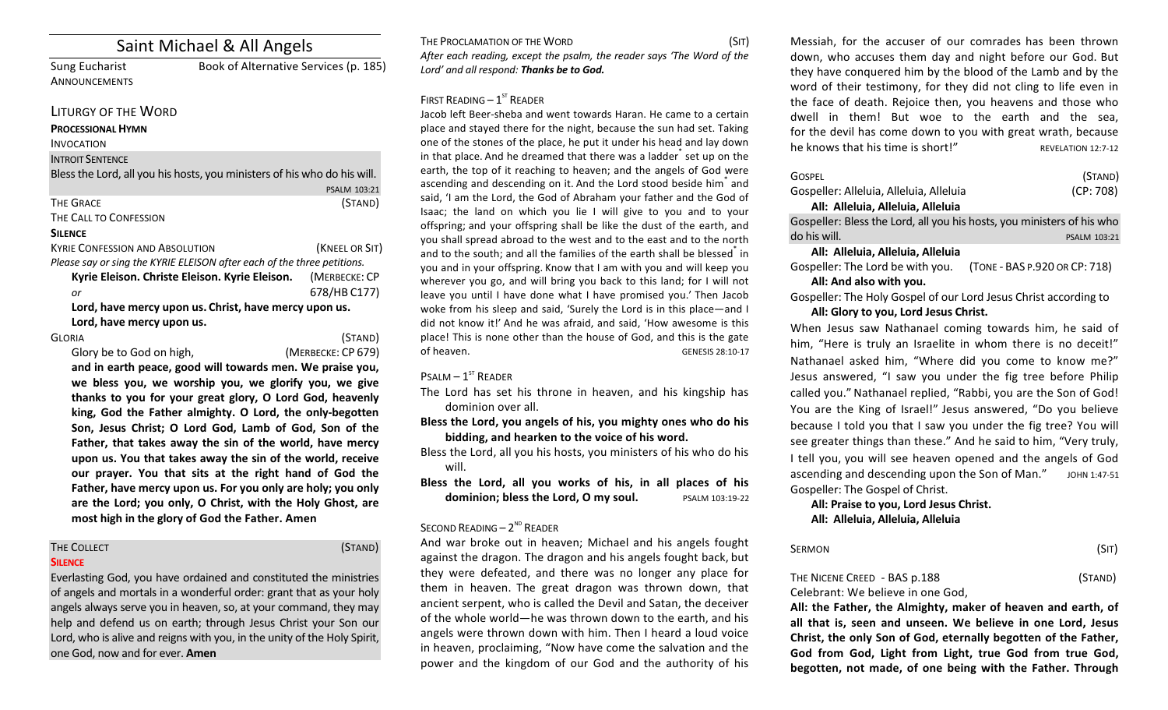# Saint Michael & All Angels

**ANNOUNCEMENTS** 

Sung Eucharist Book of Alternative Services (p. 185)

## LITURGY OF THE WORD

#### **PROCESSIONAL HYMN**

INVOCATION

#### **INTROIT SENTENCE**

Bless the Lord, all you his hosts, you ministers of his who do his will.

#### THE GRACE (STAND)

#### THE CALL TO CONFESSION

#### **SILENCE**

KYRIE CONFESSION AND ABSOLUTION *NATEL OR SIT* (*KNEEL OR SIT*) *Please say or sing the KYRIE ELEISON after each of the three petitions.* 

| Kyrie Eleison. Christe Eleison. Kyrie Eleison.        |  | (MERBECKE: CP |
|-------------------------------------------------------|--|---------------|
| or                                                    |  | 678/HB C177)  |
| Lord, have mercy upon us. Christ, have mercy upon us. |  |               |
| Lord, have mercy upon us.                             |  |               |

GLORIA (STAND)

PSALM 103:21

Glory be to God on high, *(MERBECKE: CP 679)* and in earth peace, good will towards men. We praise you, we bless you, we worship you, we glorify you, we give thanks to you for your great glory, O Lord God, heavenly king, God the Father almighty. O Lord, the only-begotten Son, Jesus Christ; O Lord God, Lamb of God, Son of the Father, that takes away the sin of the world, have mercy upon us. You that takes away the sin of the world, receive our prayer. You that sits at the right hand of God the Father, have mercy upon us. For you only are holy; you only are the Lord; you only, O Christ, with the Holy Ghost, are most high in the glory of God the Father. Amen

# **SILENCE**

THE COLLECT (STAND)

Everlasting God, you have ordained and constituted the ministries of angels and mortals in a wonderful order: grant that as your holy angels always serve you in heaven, so, at your command, they may help and defend us on earth; through Jesus Christ your Son our Lord, who is alive and reigns with you, in the unity of the Holy Spirit, one God, now and for ever. **Amen**

THE PROCLAMATION OF THE WORD (SIT) After each reading, except the psalm, the reader says 'The Word of the Lord' and all respond: **Thanks be to God.** 

## FIRST READING  $-1^\text{ST}$  READER

Jacob left Beer-sheba and went towards Haran. He came to a certain place and stayed there for the night, because the sun had set. Taking one of the stones of the place, he put it under his head and lay down in that place. And he dreamed that there was a ladder<sup>\*</sup> set up on the earth, the top of it reaching to heaven; and the angels of God were ascending and descending on it. And the Lord stood beside him<sup>\*</sup> and said, 'I am the Lord, the God of Abraham your father and the God of Isaac; the land on which you lie I will give to you and to your offspring; and your offspring shall be like the dust of the earth, and you shall spread abroad to the west and to the east and to the north and to the south; and all the families of the earth shall be blessed in you and in your offspring. Know that I am with you and will keep you wherever you go, and will bring you back to this land; for I will not leave you until I have done what I have promised you.' Then Jacob woke from his sleep and said, 'Surely the Lord is in this place—and I did not know it!' And he was afraid, and said, 'How awesome is this place! This is none other than the house of God, and this is the gate of heaven. GENESIS 28:10-17

## $P$ SALM –  $1^{ST}$  RFADER

The Lord has set his throne in heaven, and his kingship has dominion over all.

Bless the Lord, you angels of his, you mighty ones who do his bidding, and hearken to the voice of his word.

- Bless the Lord, all you his hosts, you ministers of his who do his will.
- Bless the Lord, all you works of his, in all places of his **dominion; bless the Lord, O my soul.** PSALM 103:19-22

### SECOND READING -  $2^{ND}$  READER

And war broke out in heaven; Michael and his angels fought against the dragon. The dragon and his angels fought back, but they were defeated, and there was no longer any place for them in heaven. The great dragon was thrown down, that ancient serpent, who is called the Devil and Satan, the deceiver of the whole world—he was thrown down to the earth, and his angels were thrown down with him. Then I heard a loud voice in heaven, proclaiming, "Now have come the salvation and the power and the kingdom of our God and the authority of his Messiah, for the accuser of our comrades has been thrown down, who accuses them day and night before our God. But they have conquered him by the blood of the Lamb and by the word of their testimony, for they did not cling to life even in the face of death. Rejoice then, you heavens and those who dwell in them! But woe to the earth and the sea, for the devil has come down to you with great wrath, because he knows that his time is short!"  $REVELATION 12:7-12$ 

| <b>GOSPEL</b>                                                          | (STAND)                       |
|------------------------------------------------------------------------|-------------------------------|
| Gospeller: Alleluia, Alleluia, Alleluia                                | (CP: 708)                     |
| All: Alleluia, Alleluia, Alleluia                                      |                               |
| Gospeller: Bless the Lord, all you his hosts, you ministers of his who |                               |
| do his will.                                                           | PSALM 103:21                  |
| All: Alleluia, Alleluia, Alleluia                                      |                               |
| Gospeller: The Lord be with you.                                       | (TONE - BAS P.920 OR CP: 718) |
| All: And also with you.                                                |                               |
|                                                                        |                               |

Gospeller: The Holy Gospel of our Lord Jesus Christ according to All: Glory to you, Lord Jesus Christ.

When Jesus saw Nathanael coming towards him, he said of him, "Here is truly an Israelite in whom there is no deceit!" Nathanael asked him, "Where did you come to know me?" Jesus answered, "I saw you under the fig tree before Philip called you." Nathanael replied, "Rabbi, you are the Son of God! You are the King of Israel!" Jesus answered, "Do you believe because I told you that I saw you under the fig tree? You will see greater things than these." And he said to him, "Very truly, I tell you, you will see heaven opened and the angels of God ascending and descending upon the Son of Man." JOHN 1:47-51 Gospeller: The Gospel of Christ.

### All: Praise to you, Lord Jesus Christ. **All: Alleluia, Alleluia, Alleluia**

| SERMON                       | (SIT)   |
|------------------------------|---------|
| THE NICENE CREED - BAS p.188 | (STAND) |

#### Celebrant: We believe in one God.

All: the Father, the Almighty, maker of heaven and earth, of all that is, seen and unseen. We believe in one Lord, Jesus Christ, the only Son of God, eternally begotten of the Father, God from God, Light from Light, true God from true God, begotten, not made, of one being with the Father. Through